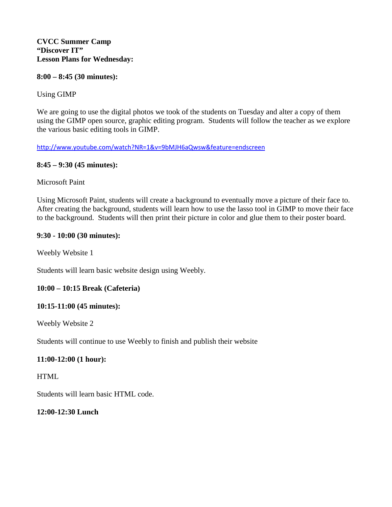#### **8:00 – 8:45 (30 minutes):**

## Using GIMP

We are going to use the digital photos we took of the students on Tuesday and alter a copy of them using the GIMP open source, graphic editing program. Students will follow the teacher as we explore the various basic editing tools in GIMP.

#### <http://www.youtube.com/watch?NR=1&v=9bMJH6aQwsw&feature=endscreen>

### **8:45 – 9:30 (45 minutes):**

Microsoft Paint

Using Microsoft Paint, students will create a background to eventually move a picture of their face to. After creating the background, students will learn how to use the lasso tool in GIMP to move their face to the background. Students will then print their picture in color and glue them to their poster board.

### **9:30 - 10:00 (30 minutes):**

Weebly Website 1

Students will learn basic website design using Weebly.

### **10:00 – 10:15 Break (Cafeteria)**

### **10:15-11:00 (45 minutes):**

Weebly Website 2

Students will continue to use Weebly to finish and publish their website

### **11:00-12:00 (1 hour):**

**HTML** 

Students will learn basic HTML code.

**12:00-12:30 Lunch**